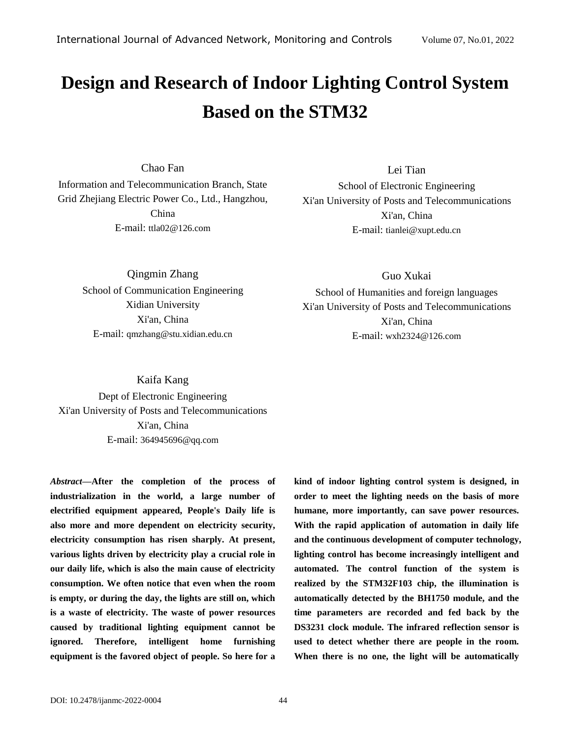# **Design and Research of Indoor Lighting Control System Based on the STM32**

Chao Fan

Information and Telecommunication Branch, State Grid Zhejiang Electric Power Co., Ltd., Hangzhou, China E-mail: [ttla02@126.com](mailto:ttla02@126.com)

Lei Tian

School of Electronic Engineering Xi'an University of Posts and Telecommunications Xi'an, China E-mail: [tianlei@xupt.edu.cn](mailto:tianlei@xupt.edu.cn)

Qingmin Zhang School of Communication Engineering Xidian University Xi'an, China E-mail: [qmzhang@stu.xidian.edu.cn](mailto:qmzhang@stu.xidian.edu.cn)

Guo Xukai

School of Humanities and foreign languages Xi'an University of Posts and Telecommunications Xi'an, China E-mail: wxh2324@126.com

Kaifa Kang Dept of Electronic Engineering Xi'an University of Posts and Telecommunications Xi'an, China E-mail: 364945696@qq.com

*Abstract—***After the completion of the process of industrialization in the world, a large number of electrified equipment appeared, People's Daily life is also more and more dependent on electricity security, electricity consumption has risen sharply. At present, various lights driven by electricity play a crucial role in our daily life, which is also the main cause of electricity consumption. We often notice that even when the room is empty, or during the day, the lights are still on, which is a waste of electricity. The waste of power resources caused by traditional lighting equipment cannot be ignored. Therefore, intelligent home furnishing equipment is the favored object of people. So here for a**  **kind of indoor lighting control system is designed, in order to meet the lighting needs on the basis of more humane, more importantly, can save power resources. With the rapid application of automation in daily life and the continuous development of computer technology, lighting control has become increasingly intelligent and automated. The control function of the system is realized by the STM32F103 chip, the illumination is automatically detected by the BH1750 module, and the time parameters are recorded and fed back by the DS3231 clock module. The infrared reflection sensor is used to detect whether there are people in the room. When there is no one, the light will be automatically**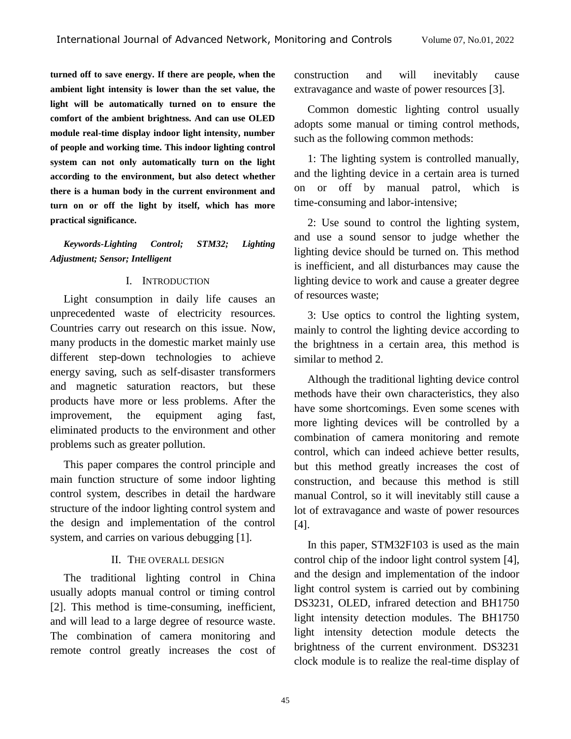**turned off to save energy. If there are people, when the ambient light intensity is lower than the set value, the light will be automatically turned on to ensure the comfort of the ambient brightness. And can use OLED module real-time display indoor light intensity, number of people and working time. This indoor lighting control system can not only automatically turn on the light according to the environment, but also detect whether there is a human body in the current environment and turn on or off the light by itself, which has more practical significance.**

## *Keywords-Lighting Control; STM32; Lighting Adjustment; Sensor; Intelligent*

### I. INTRODUCTION

Light consumption in daily life causes an unprecedented waste of electricity resources. Countries carry out research on this issue. Now, many products in the domestic market mainly use different step-down technologies to achieve energy saving, such as self-disaster transformers and magnetic saturation reactors, but these products have more or less problems. After the improvement, the equipment aging fast, eliminated products to the environment and other problems such as greater pollution.

This paper compares the control principle and main function structure of some indoor lighting control system, describes in detail the hardware structure of the indoor lighting control system and the design and implementation of the control system, and carries on various debugging [1].

#### II. THE OVERALL DESIGN

The traditional lighting control in China usually adopts manual control or timing control [2]. This method is time-consuming, inefficient, and will lead to a large degree of resource waste. The combination of camera monitoring and remote control greatly increases the cost of construction and will inevitably cause extravagance and waste of power resources [3].

Common domestic lighting control usually adopts some manual or timing control methods, such as the following common methods:

1: The lighting system is controlled manually, and the lighting device in a certain area is turned on or off by manual patrol, which is time-consuming and labor-intensive;

2: Use sound to control the lighting system, and use a sound sensor to judge whether the lighting device should be turned on. This method is inefficient, and all disturbances may cause the lighting device to work and cause a greater degree of resources waste;

3: Use optics to control the lighting system, mainly to control the lighting device according to the brightness in a certain area, this method is similar to method 2.

Although the traditional lighting device control methods have their own characteristics, they also have some shortcomings. Even some scenes with more lighting devices will be controlled by a combination of camera monitoring and remote control, which can indeed achieve better results, but this method greatly increases the cost of construction, and because this method is still manual Control, so it will inevitably still cause a lot of extravagance and waste of power resources [4].

In this paper, STM32F103 is used as the main control chip of the indoor light control system [4], and the design and implementation of the indoor light control system is carried out by combining DS3231, OLED, infrared detection and BH1750 light intensity detection modules. The BH1750 light intensity detection module detects the brightness of the current environment. DS3231 clock module is to realize the real-time display of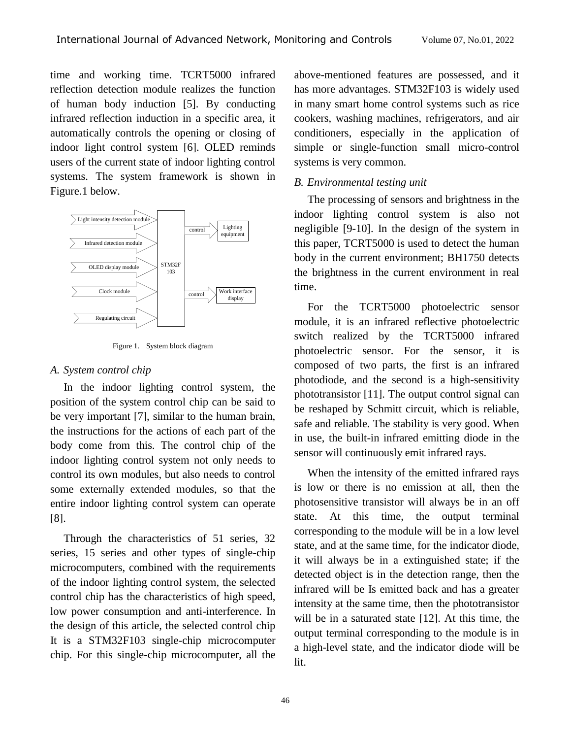time and working time. TCRT5000 infrared reflection detection module realizes the function of human body induction [5]. By conducting infrared reflection induction in a specific area, it automatically controls the opening or closing of indoor light control system [6]. OLED reminds users of the current state of indoor lighting control systems. The system framework is shown in Figure.1 below.



Figure 1. System block diagram

#### *A. System control chip*

In the indoor lighting control system, the position of the system control chip can be said to be very important [7], similar to the human brain, the instructions for the actions of each part of the body come from this. The control chip of the indoor lighting control system not only needs to control its own modules, but also needs to control some externally extended modules, so that the entire indoor lighting control system can operate [8].

Through the characteristics of 51 series, 32 series, 15 series and other types of single-chip microcomputers, combined with the requirements of the indoor lighting control system, the selected control chip has the characteristics of high speed, low power consumption and anti-interference. In the design of this article, the selected control chip It is a STM32F103 single-chip microcomputer chip. For this single-chip microcomputer, all the

above-mentioned features are possessed, and it has more advantages. STM32F103 is widely used in many smart home control systems such as rice cookers, washing machines, refrigerators, and air conditioners, especially in the application of simple or single-function small micro-control systems is very common.

#### *B. Environmental testing unit*

The processing of sensors and brightness in the indoor lighting control system is also not negligible [9-10]. In the design of the system in this paper, TCRT5000 is used to detect the human body in the current environment; BH1750 detects the brightness in the current environment in real time.

For the TCRT5000 photoelectric sensor module, it is an infrared reflective photoelectric switch realized by the TCRT5000 infrared photoelectric sensor. For the sensor, it is composed of two parts, the first is an infrared photodiode, and the second is a high-sensitivity phototransistor [11]. The output control signal can be reshaped by Schmitt circuit, which is reliable, safe and reliable. The stability is very good. When in use, the built-in infrared emitting diode in the sensor will continuously emit infrared rays.

When the intensity of the emitted infrared rays is low or there is no emission at all, then the photosensitive transistor will always be in an off state. At this time, the output terminal corresponding to the module will be in a low level state, and at the same time, for the indicator diode, it will always be in a extinguished state; if the detected object is in the detection range, then the infrared will be Is emitted back and has a greater intensity at the same time, then the phototransistor will be in a saturated state [12]. At this time, the output terminal corresponding to the module is in a high-level state, and the indicator diode will be lit.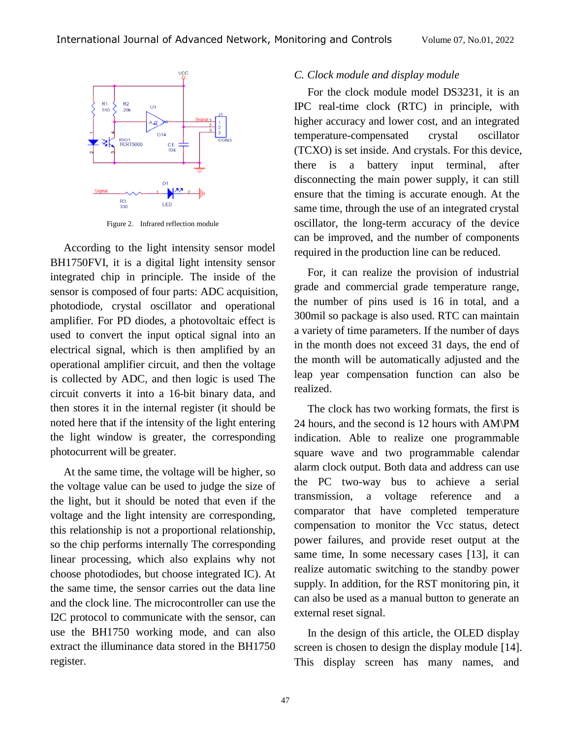

Figure 2. Infrared reflection module

According to the light intensity sensor model BH1750FVI, it is a digital light intensity sensor integrated chip in principle. The inside of the sensor is composed of four parts: ADC acquisition, photodiode, crystal oscillator and operational amplifier. For PD diodes, a photovoltaic effect is used to convert the input optical signal into an electrical signal, which is then amplified by an operational amplifier circuit, and then the voltage is collected by ADC, and then logic is used The circuit converts it into a 16-bit binary data, and then stores it in the internal register (it should be noted here that if the intensity of the light entering the light window is greater, the corresponding photocurrent will be greater.

At the same time, the voltage will be higher, so the voltage value can be used to judge the size of the light, but it should be noted that even if the voltage and the light intensity are corresponding, this relationship is not a proportional relationship, so the chip performs internally The corresponding linear processing, which also explains why not choose photodiodes, but choose integrated IC). At the same time, the sensor carries out the data line and the clock line. The microcontroller can use the I2C protocol to communicate with the sensor, can use the BH1750 working mode, and can also extract the illuminance data stored in the BH1750 register.

## *C. Clock module and display module*

For the clock module model DS3231, it is an IPC real-time clock (RTC) in principle, with higher accuracy and lower cost, and an integrated temperature-compensated crystal oscillator (TCXO) is set inside. And crystals. For this device, there is a battery input terminal, after disconnecting the main power supply, it can still ensure that the timing is accurate enough. At the same time, through the use of an integrated crystal oscillator, the long-term accuracy of the device can be improved, and the number of components required in the production line can be reduced.

For, it can realize the provision of industrial grade and commercial grade temperature range, the number of pins used is 16 in total, and a 300mil so package is also used. RTC can maintain a variety of time parameters. If the number of days in the month does not exceed 31 days, the end of the month will be automatically adjusted and the leap year compensation function can also be realized.

The clock has two working formats, the first is 24 hours, and the second is 12 hours with AM\PM indication. Able to realize one programmable square wave and two programmable calendar alarm clock output. Both data and address can use the PC two-way bus to achieve a serial transmission, a voltage reference and a comparator that have completed temperature compensation to monitor the Vcc status, detect power failures, and provide reset output at the same time, In some necessary cases [13], it can realize automatic switching to the standby power supply. In addition, for the RST monitoring pin, it can also be used as a manual button to generate an external reset signal.

In the design of this article, the OLED display screen is chosen to design the display module [14]. This display screen has many names, and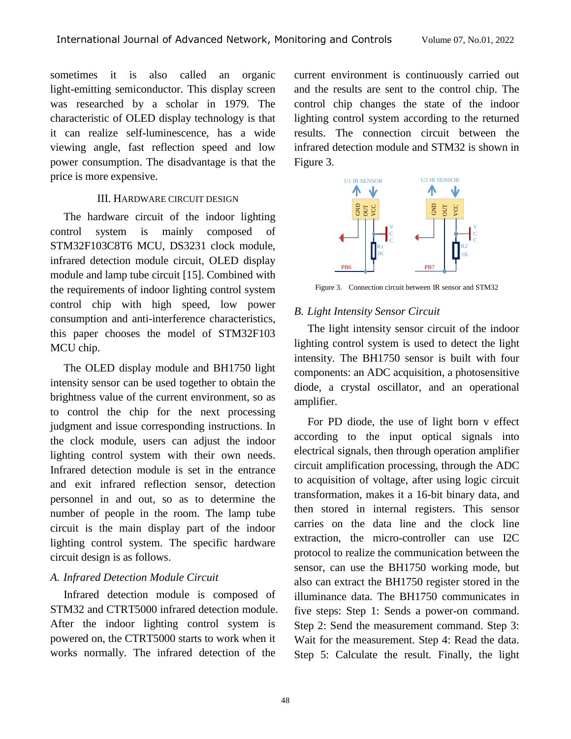sometimes it is also called an organic light-emitting semiconductor. This display screen was researched by a scholar in 1979. The characteristic of OLED display technology is that it can realize self-luminescence, has a wide viewing angle, fast reflection speed and low power consumption. The disadvantage is that the price is more expensive.

#### III. HARDWARE CIRCUIT DESIGN

The hardware circuit of the indoor lighting control system is mainly composed of STM32F103C8T6 MCU, DS3231 clock module, infrared detection module circuit, OLED display module and lamp tube circuit [15]. Combined with the requirements of indoor lighting control system control chip with high speed, low power consumption and anti-interference characteristics, this paper chooses the model of STM32F103 MCU chip.

The OLED display module and BH1750 light intensity sensor can be used together to obtain the brightness value of the current environment, so as to control the chip for the next processing judgment and issue corresponding instructions. In the clock module, users can adjust the indoor lighting control system with their own needs. Infrared detection module is set in the entrance and exit infrared reflection sensor, detection personnel in and out, so as to determine the number of people in the room. The lamp tube circuit is the main display part of the indoor lighting control system. The specific hardware circuit design is as follows.

### *A. Infrared Detection Module Circuit*

Infrared detection module is composed of STM32 and CTRT5000 infrared detection module. After the indoor lighting control system is powered on, the CTRT5000 starts to work when it works normally. The infrared detection of the

current environment is continuously carried out and the results are sent to the control chip. The control chip changes the state of the indoor lighting control system according to the returned results. The connection circuit between the infrared detection module and STM32 is shown in Figure 3.



Figure 3. Connection circuit between IR sensor and STM32

### *B. Light Intensity Sensor Circuit*

The light intensity sensor circuit of the indoor lighting control system is used to detect the light intensity. The BH1750 sensor is built with four components: an ADC acquisition, a photosensitive diode, a crystal oscillator, and an operational amplifier.

For PD diode, the use of light born v effect according to the input optical signals into electrical signals, then through operation amplifier circuit amplification processing, through the ADC to acquisition of voltage, after using logic circuit transformation, makes it a 16-bit binary data, and then stored in internal registers. This sensor carries on the data line and the clock line extraction, the micro-controller can use I2C protocol to realize the communication between the sensor, can use the BH1750 working mode, but also can extract the BH1750 register stored in the illuminance data. The BH1750 communicates in five steps: Step 1: Sends a power-on command. Step 2: Send the measurement command. Step 3: Wait for the measurement. Step 4: Read the data. Step 5: Calculate the result. Finally, the light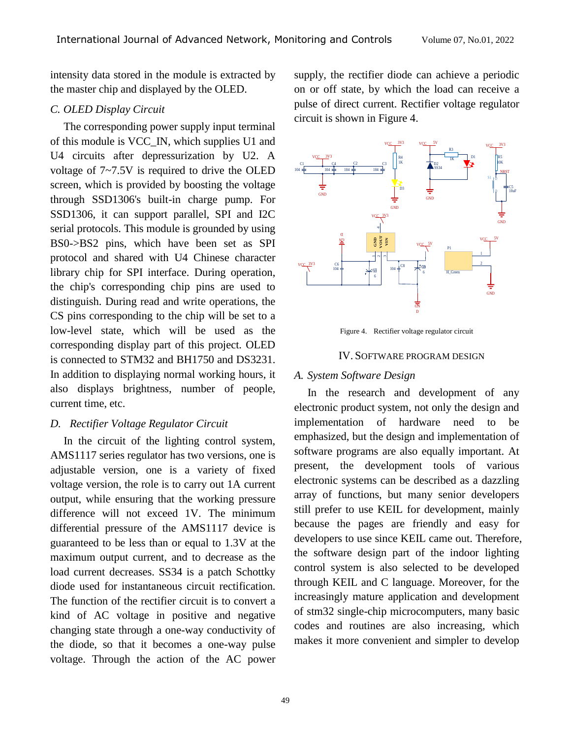intensity data stored in the module is extracted by the master chip and displayed by the OLED.

## *C. OLED Display Circuit*

The corresponding power supply input terminal of this module is VCC\_IN, which supplies U1 and U4 circuits after depressurization by U2. A voltage of 7~7.5V is required to drive the OLED screen, which is provided by boosting the voltage through SSD1306's built-in charge pump. For SSD1306, it can support parallel, SPI and I2C serial protocols. This module is grounded by using BS0->BS2 pins, which have been set as SPI protocol and shared with U4 Chinese character library chip for SPI interface. During operation, the chip's corresponding chip pins are used to distinguish. During read and write operations, the CS pins corresponding to the chip will be set to a low-level state, which will be used as the corresponding display part of this project. OLED is connected to STM32 and BH1750 and DS3231. In addition to displaying normal working hours, it also displays brightness, number of people, current time, etc.

## *D. Rectifier Voltage Regulator Circuit*

In the circuit of the lighting control system, AMS1117 series regulator has two versions, one is adjustable version, one is a variety of fixed voltage version, the role is to carry out 1A current output, while ensuring that the working pressure difference will not exceed 1V. The minimum differential pressure of the AMS1117 device is guaranteed to be less than or equal to 1.3V at the maximum output current, and to decrease as the load current decreases. SS34 is a patch Schottky diode used for instantaneous circuit rectification. The function of the rectifier circuit is to convert a kind of AC voltage in positive and negative changing state through a one-way conductivity of the diode, so that it becomes a one-way pulse voltage. Through the action of the AC power

supply, the rectifier diode can achieve a periodic on or off state, by which the load can receive a pulse of direct current. Rectifier voltage regulator circuit is shown in Figure 4.



Figure 4. Rectifier voltage regulator circuit

#### IV. SOFTWARE PROGRAM DESIGN

### *A. System Software Design*

In the research and development of any electronic product system, not only the design and implementation of hardware need to be emphasized, but the design and implementation of software programs are also equally important. At present, the development tools of various electronic systems can be described as a dazzling array of functions, but many senior developers still prefer to use KEIL for development, mainly because the pages are friendly and easy for developers to use since KEIL came out. Therefore, the software design part of the indoor lighting control system is also selected to be developed through KEIL and C language. Moreover, for the increasingly mature application and development of stm32 single-chip microcomputers, many basic codes and routines are also increasing, which makes it more convenient and simpler to develop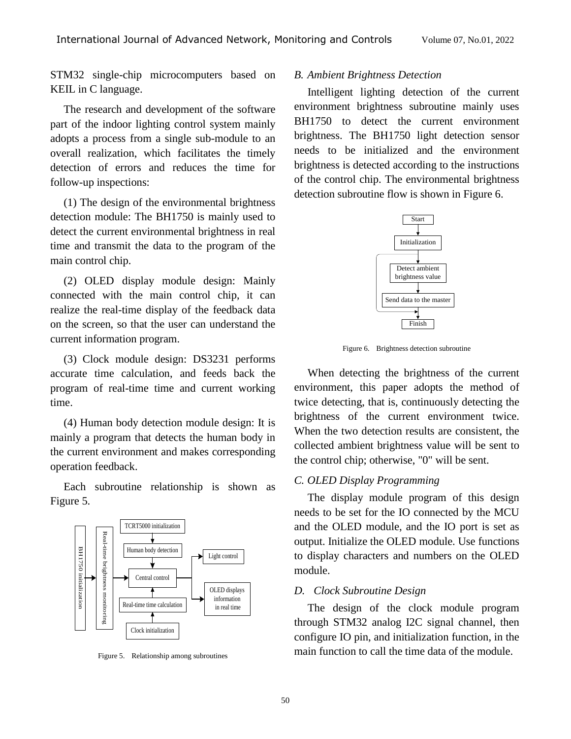STM32 single-chip microcomputers based on KEIL in C language.

The research and development of the software part of the indoor lighting control system mainly adopts a process from a single sub-module to an overall realization, which facilitates the timely detection of errors and reduces the time for follow-up inspections:

(1) The design of the environmental brightness detection module: The BH1750 is mainly used to detect the current environmental brightness in real time and transmit the data to the program of the main control chip.

(2) OLED display module design: Mainly connected with the main control chip, it can realize the real-time display of the feedback data on the screen, so that the user can understand the current information program.

(3) Clock module design: DS3231 performs accurate time calculation, and feeds back the program of real-time time and current working time.

(4) Human body detection module design: It is mainly a program that detects the human body in the current environment and makes corresponding operation feedback.

Each subroutine relationship is shown as Figure 5.



Figure 5. Relationship among subroutines

#### *B. Ambient Brightness Detection*

Intelligent lighting detection of the current environment brightness subroutine mainly uses BH1750 to detect the current environment brightness. The BH1750 light detection sensor needs to be initialized and the environment brightness is detected according to the instructions of the control chip. The environmental brightness detection subroutine flow is shown in Figure 6.



Figure 6. Brightness detection subroutine

When detecting the brightness of the current environment, this paper adopts the method of twice detecting, that is, continuously detecting the brightness of the current environment twice. When the two detection results are consistent, the collected ambient brightness value will be sent to the control chip; otherwise, "0" will be sent.

#### *C. OLED Display Programming*

The display module program of this design needs to be set for the IO connected by the MCU and the OLED module, and the IO port is set as output. Initialize the OLED module. Use functions to display characters and numbers on the OLED module.

#### *D. Clock Subroutine Design*

The design of the clock module program through STM32 analog I2C signal channel, then configure IO pin, and initialization function, in the main function to call the time data of the module.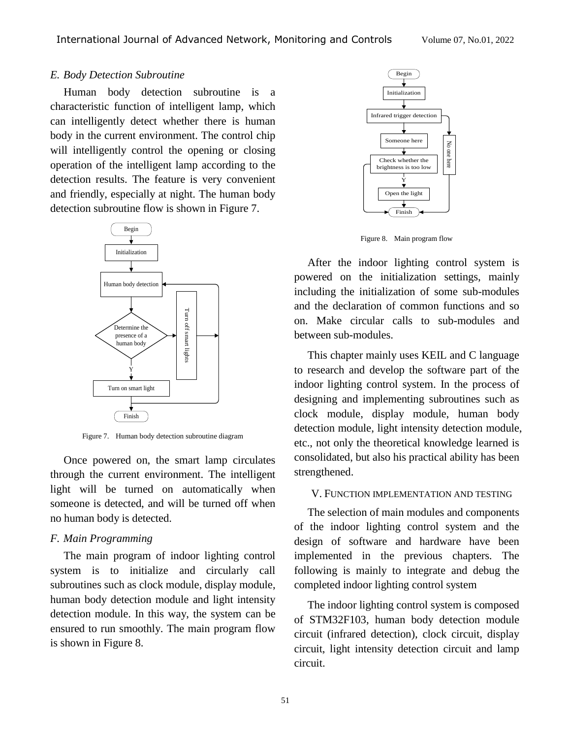#### *E. Body Detection Subroutine*

Human body detection subroutine is a characteristic function of intelligent lamp, which can intelligently detect whether there is human body in the current environment. The control chip will intelligently control the opening or closing operation of the intelligent lamp according to the detection results. The feature is very convenient and friendly, especially at night. The human body detection subroutine flow is shown in Figure 7.



Figure 7. Human body detection subroutine diagram

Once powered on, the smart lamp circulates through the current environment. The intelligent light will be turned on automatically when someone is detected, and will be turned off when no human body is detected.

#### *F. Main Programming*

The main program of indoor lighting control system is to initialize and circularly call subroutines such as clock module, display module, human body detection module and light intensity detection module. In this way, the system can be ensured to run smoothly. The main program flow is shown in Figure 8.



Figure 8. Main program flow

After the indoor lighting control system is powered on the initialization settings, mainly including the initialization of some sub-modules and the declaration of common functions and so on. Make circular calls to sub-modules and between sub-modules.

This chapter mainly uses KEIL and C language to research and develop the software part of the indoor lighting control system. In the process of designing and implementing subroutines such as clock module, display module, human body detection module, light intensity detection module, etc., not only the theoretical knowledge learned is consolidated, but also his practical ability has been strengthened.

#### V. FUNCTION IMPLEMENTATION AND TESTING

The selection of main modules and components of the indoor lighting control system and the design of software and hardware have been implemented in the previous chapters. The following is mainly to integrate and debug the completed indoor lighting control system

The indoor lighting control system is composed of STM32F103, human body detection module circuit (infrared detection), clock circuit, display circuit, light intensity detection circuit and lamp circuit.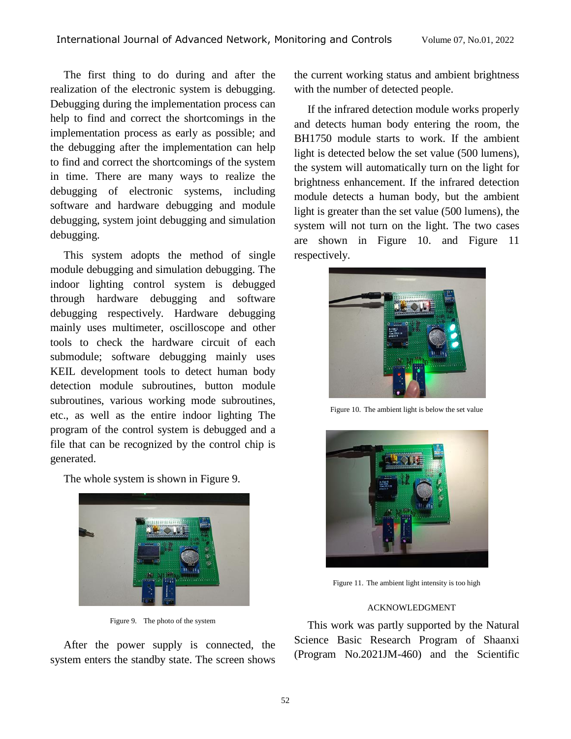The first thing to do during and after the realization of the electronic system is debugging. Debugging during the implementation process can help to find and correct the shortcomings in the implementation process as early as possible; and the debugging after the implementation can help to find and correct the shortcomings of the system in time. There are many ways to realize the debugging of electronic systems, including software and hardware debugging and module debugging, system joint debugging and simulation debugging.

This system adopts the method of single module debugging and simulation debugging. The indoor lighting control system is debugged through hardware debugging and software debugging respectively. Hardware debugging mainly uses multimeter, oscilloscope and other tools to check the hardware circuit of each submodule; software debugging mainly uses KEIL development tools to detect human body detection module subroutines, button module subroutines, various working mode subroutines, etc., as well as the entire indoor lighting The program of the control system is debugged and a file that can be recognized by the control chip is generated.

The whole system is shown in Figure 9.



Figure 9. The photo of the system

After the power supply is connected, the system enters the standby state. The screen shows the current working status and ambient brightness with the number of detected people.

If the infrared detection module works properly and detects human body entering the room, the BH1750 module starts to work. If the ambient light is detected below the set value (500 lumens), the system will automatically turn on the light for brightness enhancement. If the infrared detection module detects a human body, but the ambient light is greater than the set value (500 lumens), the system will not turn on the light. The two cases are shown in Figure 10. and Figure 11 respectively.



Figure 10. The ambient light is below the set value



Figure 11. The ambient light intensity is too high

### ACKNOWLEDGMENT

This work was partly supported by the Natural Science Basic Research Program of Shaanxi (Program No.2021JM-460) and the Scientific